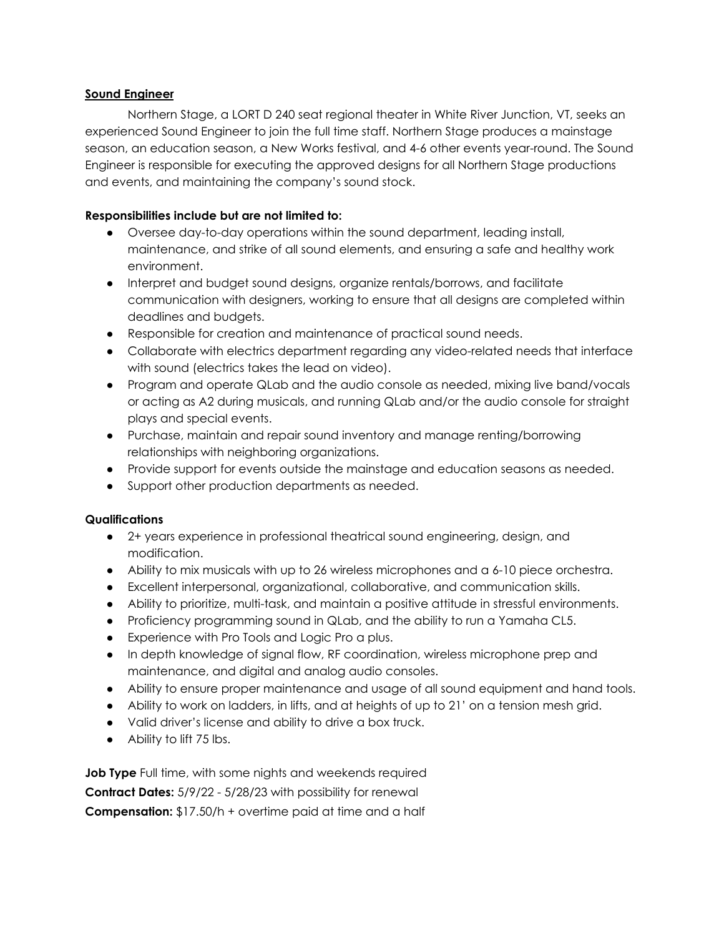## **Sound Engineer**

Northern Stage, a LORT D 240 seat regional theater in White River Junction, VT, seeks an experienced Sound Engineer to join the full time staff. Northern Stage produces a mainstage season, an education season, a New Works festival, and 4-6 other events year-round. The Sound Engineer is responsible for executing the approved designs for all Northern Stage productions and events, and maintaining the company's sound stock.

## **Responsibilities include but are not limited to:**

- Oversee day-to-day operations within the sound department, leading install, maintenance, and strike of all sound elements, and ensuring a safe and healthy work environment.
- Interpret and budget sound designs, organize rentals/borrows, and facilitate communication with designers, working to ensure that all designs are completed within deadlines and budgets.
- Responsible for creation and maintenance of practical sound needs.
- Collaborate with electrics department regarding any video-related needs that interface with sound (electrics takes the lead on video).
- Program and operate QLab and the audio console as needed, mixing live band/vocals or acting as A2 during musicals, and running QLab and/or the audio console for straight plays and special events.
- Purchase, maintain and repair sound inventory and manage renting/borrowing relationships with neighboring organizations.
- Provide support for events outside the mainstage and education seasons as needed.
- Support other production departments as needed.

## **Qualifications**

- 2+ years experience in professional theatrical sound engineering, design, and modification.
- Ability to mix musicals with up to 26 wireless microphones and a 6-10 piece orchestra.
- Excellent interpersonal, organizational, collaborative, and communication skills.
- Ability to prioritize, multi-task, and maintain a positive attitude in stressful environments.
- Proficiency programming sound in QLab, and the ability to run a Yamaha CL5.
- Experience with Pro Tools and Logic Pro a plus.
- In depth knowledge of signal flow, RF coordination, wireless microphone prep and maintenance, and digital and analog audio consoles.
- Ability to ensure proper maintenance and usage of all sound equipment and hand tools.
- Ability to work on ladders, in lifts, and at heights of up to 21' on a tension mesh grid.
- Valid driver's license and ability to drive a box truck.
- Ability to lift 75 lbs.

**Job Type** Full time, with some nights and weekends required **Contract Dates:** 5/9/22 - 5/28/23 with possibility for renewal **Compensation:** \$17.50/h + overtime paid at time and a half